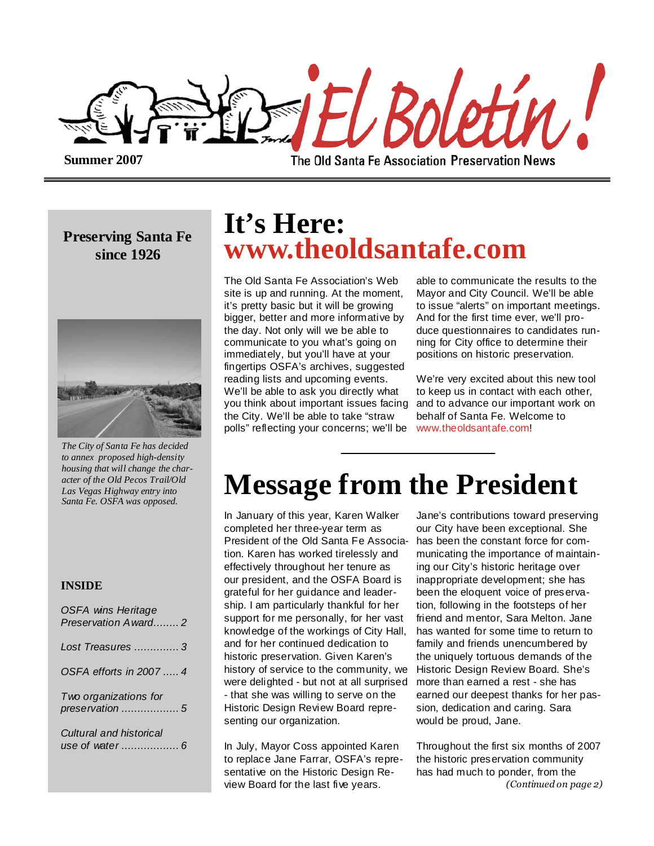

**Summer 2007** 

The Old Santa Fe Association Preservation News

### **Preserving Santa Fe since 1926**



*The City of Santa Fe has decided to annex proposed high-density housing that will change the character of the Old Pecos Trail/Old Las Vegas Highway entry into Santa Fe. OSFA was opposed.* 

#### **INSIDE**

| <b>OSFA wins Heritage</b><br>Preservation Award2 |
|--------------------------------------------------|
| Lost Treasures 3                                 |
| OSFA efforts in 2007  4                          |
| Two organizations for<br>preservation  5         |
| Cultural and historical                          |

## **It's Here: www.theoldsantafe.com**

The Old Santa Fe Association's Web site is up and running. At the moment, it's pretty basic but it will be growing bigger, better and more informative by the day. Not only will we be able to communicate to you what's going on immediately, but you'll have at your fingertips OSFA's archives, suggested reading lists and upcoming events. We'll be able to ask you directly what you think about important issues facing the City. We'll be able to take "straw polls" reflecting your concerns; we'll be

able to communicate the results to the Mayor and City Council. We'll be able to issue "alerts" on important meetings. And for the first time ever, we'll produce questionnaires to candidates running for City office to determine their positions on historic preservation.

We're very excited about this new tool to keep us in contact with each other, and to advance our important work on behalf of Santa Fe. Welcome to www.theoldsantafe.com!

# **Message from the President**

In January of this year, Karen Walker completed her three-year term as President of the Old Santa Fe Association. Karen has worked tirelessly and effectively throughout her tenure as our president, and the OSFA Board is grateful for her guidance and leadership. I am particularly thankful for her support for me personally, for her vast knowledge of the workings of City Hall, and for her continued dedication to historic preservation. Given Karen's history of service to the community, we were delighted - but not at all surprised - that she was willing to serve on the Historic Design Review Board representing our organization.

In July, Mayor Coss appointed Karen to replace Jane Farrar, OSFA's representative on the Historic Design Review Board for the last five years.

Jane's contributions toward preserving our City have been exceptional. She has been the constant force for communicating the importance of maintaining our City's historic heritage over inappropriate development; she has been the eloquent voice of preservation, following in the footsteps of her friend and mentor, Sara Melton. Jane has wanted for some time to return to family and friends unencumbered by the uniquely tortuous demands of the Historic Design Review Board. She's more than earned a rest - she has earned our deepest thanks for her passion, dedication and caring. Sara would be proud, Jane.

Throughout the first six months of 2007 the historic preservation community has had much to ponder, from the (Continued on page 2)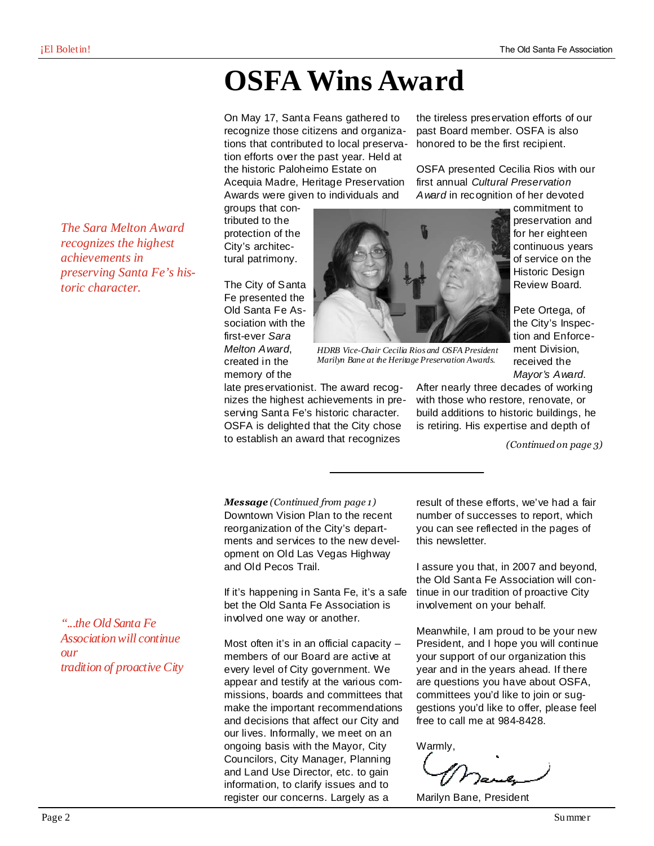the tireless preservation efforts of our past Board member. OSFA is also honored to be the first recipient.

OSFA presented Cecilia Rios with our first annual Cultural Preservation Award in recognition of her devoted

# **OSFA Wins Award**

On May 17, Santa Feans gathered to recognize those citizens and organizations that contributed to local preservation efforts over the past year. Held at the historic Paloheimo Estate on

Acequia Madre, Heritage Preservation Awards were given to individuals and

groups that contributed to the protection of the City's architectural patrimony.

The City of Santa Fe presented the Old Santa Fe Association with the first-ever Sara Melton Award, created in the memory of the



*HDRB Vice-Chair Cecilia Rios and OSFA President Marilyn Bane at the Heritage Preservation Awards.* 

late preservationist. The award recognizes the highest achievements in preserving Santa Fe's historic character. OSFA is delighted that the City chose Mayor's Award. After nearly three decades of working with those who restore, renovate, or build additions to historic buildings, he is retiring. His expertise and depth of

(Continued on page 3)

received the

Downtown Vision Plan to the recent reorganization of the City's departments and services to the new development on Old Las Vegas Highway and Old Pecos Trail. Message (Continued from page 1)

to establish an award that recognizes

If it's happening in Santa Fe, it's a safe bet the Old Santa Fe Association is involved one way or another.

Most often it's in an official capacity – members of our Board are active at every level of City government. We appear and testify at the various commissions, boards and committees that make the important recommendations and decisions that affect our City and our lives. Informally, we meet on an ongoing basis with the Mayor, City Councilors, City Manager, Planning and Land Use Director, etc. to gain information, to clarify issues and to register our concerns. Largely as a

result of these efforts, we've had a fair number of successes to report, which you can see reflected in the pages of this newsletter.

I assure you that, in 2007 and beyond, the Old Santa Fe Association will continue in our tradition of proactive City involvement on your behalf.

Meanwhile, I am proud to be your new President, and I hope you will continue your support of our organization this year and in the years ahead. If there are questions you have about OSFA, committees you'd like to join or suggestions you'd like to offer, please feel free to call me at 984-8428.

Warmly,

Marilyn Bane, President

*The Sara Melton Award recognizes the highest achievements in preserving Santa Fe's historic character.* 

*"...the Old Santa Fe Association will continue our tradition of proactive City*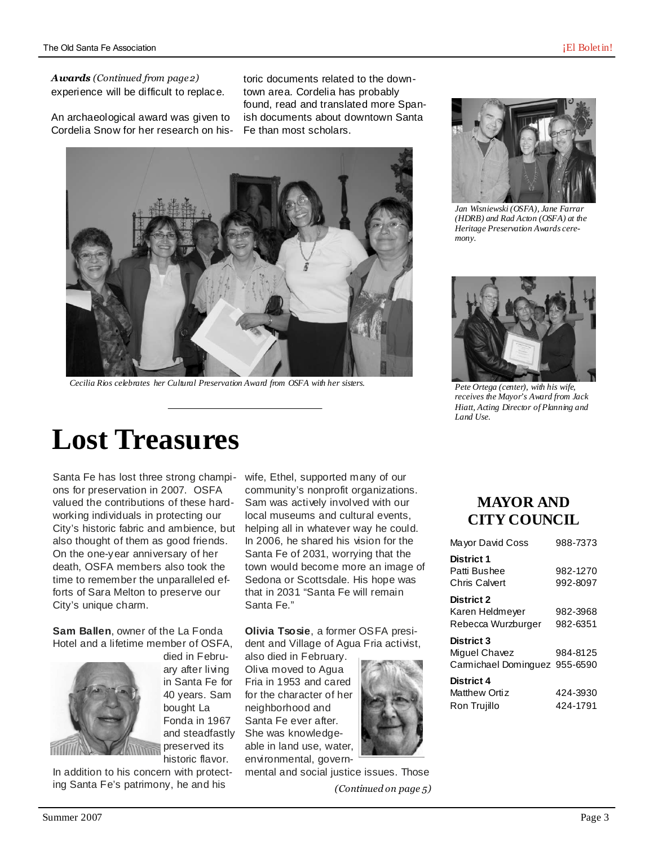experience will be difficult to replace. Awards (Continued from page 2)

An archaeological award was given to Cordelia Snow for her research on his-

toric documents related to the downtown area. Cordelia has probably found, read and translated more Spanish documents about downtown Santa Fe than most scholars.



*Cecilia Rios celebrates her Cultural Preservation Award from OSFA with her sisters.* 

# **Lost Treasures**

Santa Fe has lost three strong champions for preservation in 2007. OSFA valued the contributions of these hardworking individuals in protecting our City's historic fabric and ambience, but also thought of them as good friends. On the one-year anniversary of her death, OSFA members also took the time to remember the unparalleled efforts of Sara Melton to preserve our City's unique charm.

**Sam Ballen**, owner of the La Fonda Hotel and a lifetime member of OSFA,



died in February after living in Santa Fe for 40 years. Sam bought La Fonda in 1967 and steadfastly preserved its historic flavor.

In addition to his concern with protecting Santa Fe's patrimony, he and his

wife, Ethel, supported many of our community's nonprofit organizations. Sam was actively involved with our local museums and cultural events, helping all in whatever way he could. In 2006, he shared his vision for the Santa Fe of 2031, worrying that the town would become more an image of Sedona or Scottsdale. His hope was that in 2031 "Santa Fe will remain Santa Fe."

**Olivia Tsosie**, a former OSFA president and Village of Agua Fria activist,

also died in February. Oliva moved to Agua Fria in 1953 and cared for the character of her neighborhood and Santa Fe ever after. She was knowledgeable in land use, water, environmental, govern-



mental and social justice issues. Those (Continued on page 5)



*Jan Wisniewski (OSFA), Jane Farrar (HDRB) and Rad Acton (OSFA) at the Heritage Preservation Awards ceremony.* 



*Pete Ortega (center), with his wife, receives the Mayor's Award from Jack Hiatt, Acting Director of Planning and Land Use.* 

### **MAYOR AND CITY COUNCIL**

| Mayor David Coss              | 988-7373 |
|-------------------------------|----------|
| <b>District 1</b>             |          |
| Patti Bushee                  | 982-1270 |
| <b>Chris Calvert</b>          | 992-8097 |
| <b>District 2</b>             |          |
| Karen Heldmeyer               | 982-3968 |
| Rebecca Wurzburger            | 982-6351 |
| <b>District 3</b>             |          |
| Miguel Chavez                 | 984-8125 |
| Carmichael Dominguez 955-6590 |          |
| District 4                    |          |
| Matthew Ortiz                 | 424-3930 |
| Ron Trujillo                  | 424-1791 |
|                               |          |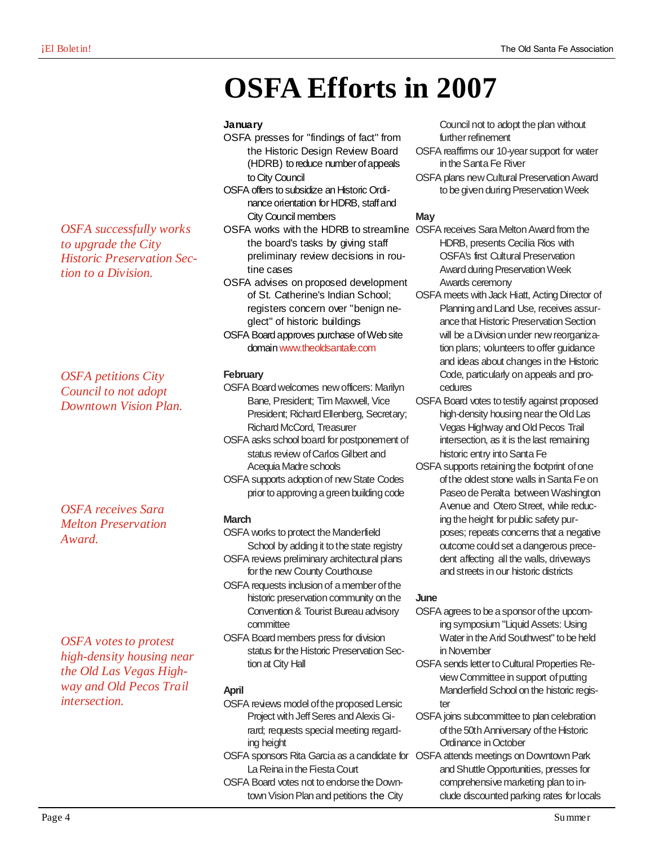# **OSFA Efforts in 2007**

#### **January**

- OSFA presses for "findings of fact" from the Historic Design Review Board (HDRB) to reduce number of appeals to City Council
- OSFA offers to subsidize an Historic Ordinance orientation for HDRB, staff and City Council members
- OSFA works with the HDRB to streamline OSFA receives Sara Melton Award from the the board's tasks by giving staff preliminary review decisions in routine cases
- OSFA advises on proposed development of St. Catherine's Indian School; registers concern over "benign neglect" of historic buildings
- OSFA Board approves purchase of Web site domain www.theoldsantafe.com

#### **February**

- OSFA Board welcomes new officers: Marilyn Bane, President; Tim Maxwell, Vice President; Richard Ellenberg, Secretary; Richard McCord, Treasurer
- OSFA asks school board for postponement of status review of Carlos Gilbert and Acequia Madre schools
- OSFA supports adoption of new State Codes prior to approving a green building code

#### **March**

- OSFA works to protect the Manderfield School by adding it to the state registry OSFA reviews preliminary architectural plans for the new County Courthouse
- OSFA requests inclusion of a member of the historic preservation community on the Convention & Tourist Bureau advisory committee
- OSFA Board members press for division status for the Historic Preservation Section at City Hall

#### **April**

- OSFA reviews model of the proposed Lensic Project with Jeff Seres and Alexis Girard; requests special meeting regarding height
- OSFA sponsors Rita Garcia as a candidate for OSFA attends meetings on Downtown Park La Reina in the Fiesta Court
- OSFA Board votes not to endorse the Downtown Vision Plan and petitions the City

Council not to adopt the plan without further refinement

- OSFA reaffirms our 10-year support for water in the Santa Fe River
- OSFA plans new Cultural Preservation Award to be given during Preservation Week

#### **May**

- HDRB, presents Cecilia Rios with OSFA's first Cultural Preservation Award during Preservation Week Awards ceremony
- OSFA meets with Jack Hiatt, Acting Director of Planning and Land Use, receives assurance that Historic Preservation Section will be a Division under new reorganization plans; volunteers to offer guidance and ideas about changes in the Historic Code, particularly on appeals and procedures
- OSFA Board votes to testify against proposed high-density housing near the Old Las Vegas Highway and Old Pecos Trail intersection, as it is the last remaining historic entry into Santa Fe
- OSFA supports retaining the footprint of one of the oldest stone walls in Santa Fe on Paseo de Peralta between Washington Avenue and Otero Street, while reducing the height for public safety purposes; repeats concerns that a negative outcome could set a dangerous precedent affecting all the walls, driveways and streets in our historic districts

#### **June**

- OSFA agrees to be a sponsor of the upcoming symposium "Liquid Assets: Using Water in the Arid Southwest" to be held in November
- OSFA sends letter to Cultural Properties Review Committee in support of putting Manderfield School on the historic register
- OSFA joins subcommittee to plan celebration of the 50th Anniversary of the Historic Ordinance in October
- and Shuttle Opportunities, presses for comprehensive marketing plan to include discounted parking rates for locals

*OSFA successfully works to upgrade the City Historic Preservation Section to a Division.* 

*OSFA petitions City Council to not adopt Downtown Vision Plan.* 

*OSFA receives Sara Melton Preservation Award.* 

*OSFA votes to protest high-density housing near the Old Las Vegas Highway and Old Pecos Trail intersection.*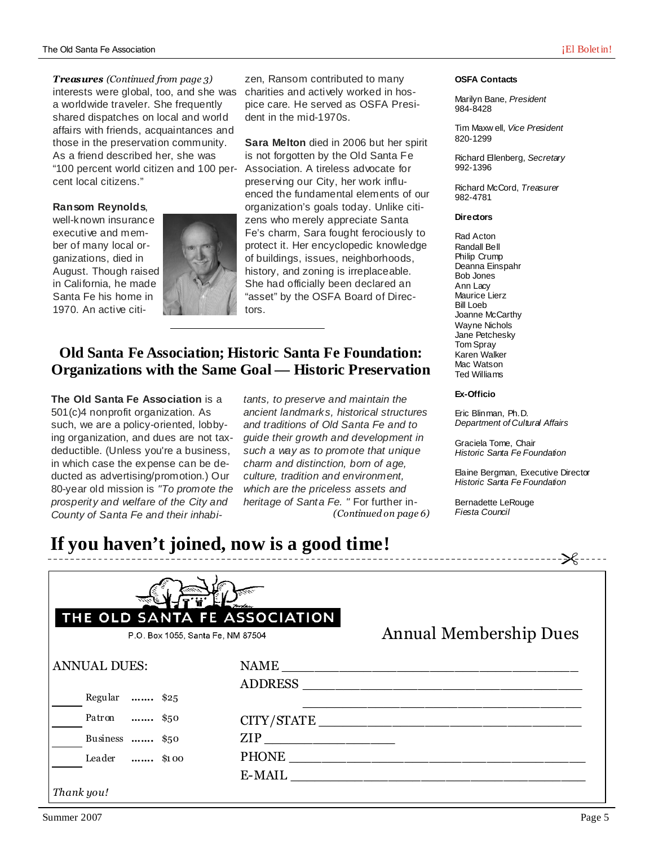interests were global, too, and she was a worldwide traveler. She frequently shared dispatches on local and world affairs with friends, acquaintances and those in the preservation community. As a friend described her, she was "100 percent world citizen and 100 percent local citizens." Treasures (Continued from page 3)

#### **Ransom Reynolds**,

well-known insurance executive and member of many local organizations, died in August. Though raised in California, he made Santa Fe his home in 1970. An active citi-



zen, Ransom contributed to many charities and actively worked in hospice care. He served as OSFA President in the mid-1970s.

**Sara Melton** died in 2006 but her spirit is not forgotten by the Old Santa Fe Association. A tireless advocate for preserving our City, her work influenced the fundamental elements of our organization's goals today. Unlike citizens who merely appreciate Santa Fe's charm, Sara fought ferociously to protect it. Her encyclopedic knowledge of buildings, issues, neighborhoods, history, and zoning is irreplaceable. She had officially been declared an "asset" by the OSFA Board of Directors.

### **Old Santa Fe Association; Historic Santa Fe Foundation: Organizations with the Same Goal — Historic Preservation**

**The Old Santa Fe Association** is a 501(c)4 nonprofit organization. As such, we are a policy-oriented, lobbying organization, and dues are not taxdeductible. (Unless you're a business, in which case the expense can be deducted as advertising/promotion.) Our 80-year old mission is "To promote the prosperity and welfare of the City and County of Santa Fe and their inhabitants, to preserve and maintain the ancient landmarks, historical structures and traditions of Old Santa Fe and to guide their growth and development in such a way as to promote that unique charm and distinction, born of age, culture, tradition and environment, which are the priceless assets and heritage of Santa Fe. " For further in-(Continued on page 6)

#### **OSFA Contacts**

Marilyn Bane, President 984-8428

Tim Maxw ell, Vice President 820-1299

Richard Ellenberg, Secretary 992-1396

Richard McCord, Treasurer 982-4781

#### **Directors**

Rad Acton Randall Bell Philip Crump Deanna Einspahr Bob Jones Ann Lacy Maurice Lierz Bill Loeb Joanne McCarthy Wayne Nichols Jane Petchesky Tom Spray Karen Walker Mac Watson Ted Williams

#### **Ex-Officio**

Eric Blinman, Ph.D. Department of Cultural Affairs

Graciela Tome, Chair Historic Santa Fe Foundation

Elaine Bergman, Executive Director Historic Santa Fe Foundation

Bernadette LeRouge Fiesta Council

### **If you haven't joined, now is a good time!**

|                     | THE OLD SANTA FE ASSOCIATION<br>P.O. Box 1055, Santa Fe, NM 87504 | <b>Annual Membership Dues</b> |
|---------------------|-------------------------------------------------------------------|-------------------------------|
| <b>ANNUAL DUES:</b> | <b>NAME</b><br><b>ADDRESS</b>                                     |                               |
| Regular  \$25       |                                                                   |                               |
| Patron  \$50        |                                                                   | CITY/STATE                    |
| Business  \$50      |                                                                   |                               |
| Leader  \$100       |                                                                   |                               |
|                     | E-MAIL                                                            |                               |
| Thank you!          |                                                                   |                               |

-<del>-</del> ------